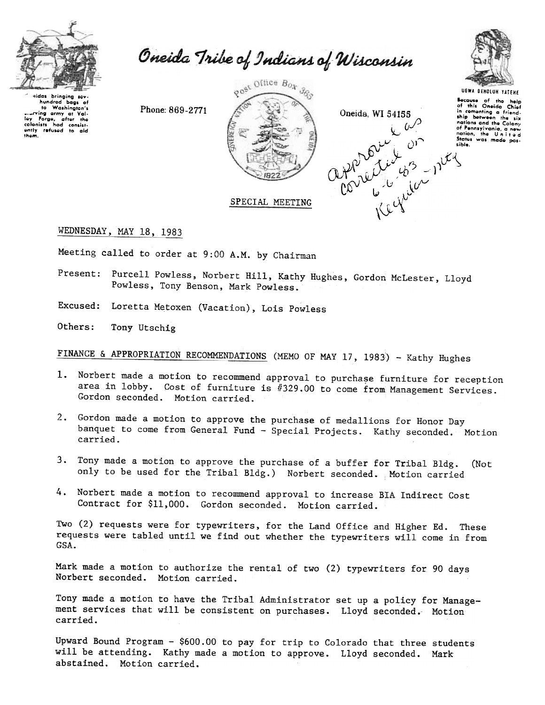

Oneida Tribe of Indians of Wisconsin

sidas bringing sov hundred baas of Washington's  $\overline{a}$ to Washington's<br>
univing army at Value<br>
ley Forge, after the<br>
colonists had consistently refused to aid them.

Phone: 869-2771







**UGWA DENOLUN YATENE** Because of the help<br>of this Oneida Chief in comenting a friendnations and the Colony of Pennsylvania, a new<br>nation, the United<br>States was made pos-

sible.

# SPECIAL MEETING

WEDNESDAY, MAY 18, 1983

Meeting called to order at 9:00 A.M. by Chairman

- Present: Purcell Powless, Norbert Hill, Kathy Hughes, Gordon McLester, Lloyd Powless, Tony Benson, Mark Powless.
- Excused: Loretta Metoxen (Vacation), Lois Powless

Others: Tony Utschig

FINANCE & APPROPRIATION RECOMMENDATIONS (MEMO OF MAY 17, 1983) - Kathy Hughes

- Norbert made a motion to recommend approval to purchase furniture for reception 1. area in lobby. Cost of furniture is #329.00 to come from Management Services. Gordon seconded. Motion carried.
- 2. Gordon made a motion to approve the purchase of medallions for Honor Day banquet to come from General Fund - Special Projects. Kathy seconded. Motion carried.
- 3. Tony made a motion to approve the purchase of a buffer for Tribal Bldg. (Not only to be used for the Tribal Bldg.) Norbert seconded. Motion carried
- 4. Norbert made a motion to recommend approval to increase BIA Indirect Cost Contract for \$11,000. Gordon seconded. Motion carried.

Two (2) requests were for typewriters, for the Land Office and Higher Ed. These requests were tabled until we find out whether the typewriters will come in from GSA.

Mark made a motion to authorize the rental of two (2) typewriters for 90 days Norbert seconded. Motion carried.

Tony made a motion to have the Tribal Administrator set up a policy for Management services that will be consistent on purchases. Lloyd seconded. Motion carried.

Upward Bound Program - \$600.00 to pay for trip to Colorado that three students will be attending. Kathy made a motion to approve. Lloyd seconded. Mark abstained. Motion carried.